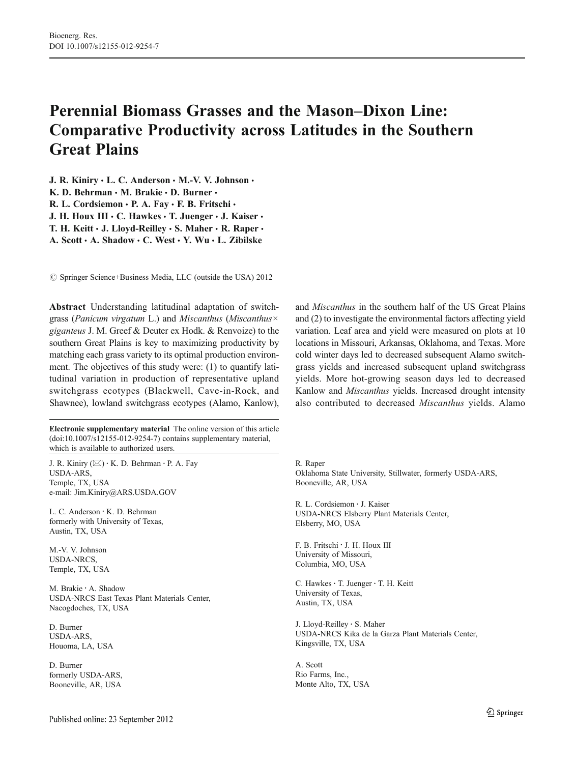# Perennial Biomass Grasses and the Mason–Dixon Line: Comparative Productivity across Latitudes in the Southern Great Plains

J. R. Kiniry · L. C. Anderson · M.-V. V. Johnson ·

K. D. Behrman · M. Brakie · D. Burner ·

R. L. Cordsiemon · P. A. Fay · F. B. Fritschi ·

J. H. Houx III  $\cdot$  C. Hawkes  $\cdot$  T. Juenger  $\cdot$  J. Kaiser  $\cdot$ 

T. H. Keitt  $\cdot$  J. Lloyd-Reilley  $\cdot$  S. Maher  $\cdot$  R. Raper  $\cdot$ 

A. Scott · A. Shadow · C. West · Y. Wu · L. Zibilske

© Springer Science+Business Media, LLC (outside the USA) 2012

Abstract Understanding latitudinal adaptation of switchgrass (Panicum virgatum L.) and Miscanthus (Miscanthus $\times$ giganteus J. M. Greef & Deuter ex Hodk. & Renvoize) to the southern Great Plains is key to maximizing productivity by matching each grass variety to its optimal production environment. The objectives of this study were: (1) to quantify latitudinal variation in production of representative upland switchgrass ecotypes (Blackwell, Cave-in-Rock, and Shawnee), lowland switchgrass ecotypes (Alamo, Kanlow),

Electronic supplementary material The online version of this article (doi:[10.1007/s12155-012-9254-7](http://dx.doi.org/10.1007/s12155-012-9254-7)) contains supplementary material, which is available to authorized users.

J. R. Kiniry  $(\boxtimes) \cdot K$ . D. Behrman  $\cdot$  P. A. Fay USDA-ARS, Temple, TX, USA e-mail: Jim.Kiniry@ARS.USDA.GOV

L. C. Anderson : K. D. Behrman formerly with University of Texas, Austin, TX, USA

M.-V. V. Johnson USDA-NRCS, Temple, TX, USA

M. Brakie : A. Shadow USDA-NRCS East Texas Plant Materials Center, Nacogdoches, TX, USA

D. Burner USDA-ARS, Houoma, LA, USA

D. Burner formerly USDA-ARS, Booneville, AR, USA

and Miscanthus in the southern half of the US Great Plains and (2) to investigate the environmental factors affecting yield variation. Leaf area and yield were measured on plots at 10 locations in Missouri, Arkansas, Oklahoma, and Texas. More cold winter days led to decreased subsequent Alamo switchgrass yields and increased subsequent upland switchgrass yields. More hot-growing season days led to decreased Kanlow and Miscanthus yields. Increased drought intensity also contributed to decreased Miscanthus yields. Alamo

R. Raper Oklahoma State University, Stillwater, formerly USDA-ARS, Booneville, AR, USA

R. L. Cordsiemon : J. Kaiser USDA-NRCS Elsberry Plant Materials Center, Elsberry, MO, USA

F. B. Fritschi : J. H. Houx III University of Missouri, Columbia, MO, USA

C. Hawkes · T. Juenger · T. H. Keitt University of Texas, Austin, TX, USA

J. Lloyd-Reilley : S. Maher USDA-NRCS Kika de la Garza Plant Materials Center, Kingsville, TX, USA

A. Scott Rio Farms, Inc., Monte Alto, TX, USA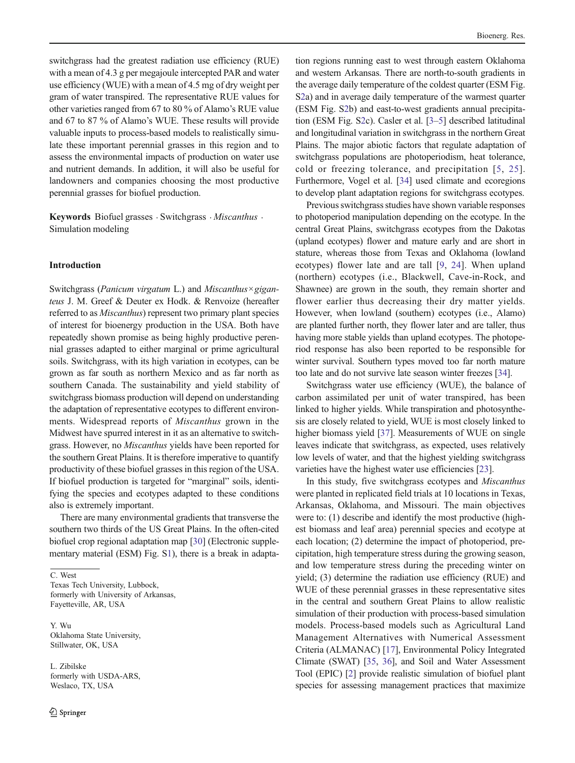switchgrass had the greatest radiation use efficiency (RUE) with a mean of 4.3 g per megajoule intercepted PAR and water use efficiency (WUE) with a mean of 4.5 mg of dry weight per gram of water transpired. The representative RUE values for other varieties ranged from 67 to 80 % of Alamo's RUE value and 67 to 87 % of Alamo's WUE. These results will provide valuable inputs to process-based models to realistically simulate these important perennial grasses in this region and to assess the environmental impacts of production on water use and nutrient demands. In addition, it will also be useful for landowners and companies choosing the most productive perennial grasses for biofuel production.

Keywords Biofuel grasses · Switchgrass · Miscanthus · Simulation modeling

### Introduction

Switchgrass (Panicum virgatum L.) and Miscanthus×giganteus J. M. Greef & Deuter ex Hodk. & Renvoize (hereafter referred to as Miscanthus) represent two primary plant species of interest for bioenergy production in the USA. Both have repeatedly shown promise as being highly productive perennial grasses adapted to either marginal or prime agricultural soils. Switchgrass, with its high variation in ecotypes, can be grown as far south as northern Mexico and as far north as southern Canada. The sustainability and yield stability of switchgrass biomass production will depend on understanding the adaptation of representative ecotypes to different environments. Widespread reports of Miscanthus grown in the Midwest have spurred interest in it as an alternative to switchgrass. However, no Miscanthus yields have been reported for the southern Great Plains. It is therefore imperative to quantify productivity of these biofuel grasses in this region of the USA. If biofuel production is targeted for "marginal" soils, identifying the species and ecotypes adapted to these conditions also is extremely important.

There are many environmental gradients that transverse the southern two thirds of the US Great Plains. In the often-cited biofuel crop regional adaptation map [\[30\]](#page-14-0) (Electronic supplementary material (ESM) Fig. S1), there is a break in adapta-

C. West Texas Tech University, Lubbock, formerly with University of Arkansas, Fayetteville, AR, USA

Y. Wu Oklahoma State University, Stillwater, OK, USA

L. Zibilske formerly with USDA-ARS, Weslaco, TX, USA

tion regions running east to west through eastern Oklahoma and western Arkansas. There are north-to-south gradients in the average daily temperature of the coldest quarter (ESM Fig. S2a) and in average daily temperature of the warmest quarter (ESM Fig. S2b) and east-to-west gradients annual precipitation (ESM Fig. S2c). Casler et al. [[3](#page-14-0)–[5](#page-14-0)] described latitudinal and longitudinal variation in switchgrass in the northern Great Plains. The major abiotic factors that regulate adaptation of switchgrass populations are photoperiodism, heat tolerance, cold or freezing tolerance, and precipitation [[5,](#page-14-0) [25](#page-14-0)]. Furthermore, Vogel et al. [\[34\]](#page-15-0) used climate and ecoregions to develop plant adaptation regions for switchgrass ecotypes.

Previous switchgrass studies have shown variable responses to photoperiod manipulation depending on the ecotype. In the central Great Plains, switchgrass ecotypes from the Dakotas (upland ecotypes) flower and mature early and are short in stature, whereas those from Texas and Oklahoma (lowland ecotypes) flower late and are tall [\[9,](#page-14-0) [24\]](#page-14-0). When upland (northern) ecotypes (i.e., Blackwell, Cave-in-Rock, and Shawnee) are grown in the south, they remain shorter and flower earlier thus decreasing their dry matter yields. However, when lowland (southern) ecotypes (i.e., Alamo) are planted further north, they flower later and are taller, thus having more stable yields than upland ecotypes. The photoperiod response has also been reported to be responsible for winter survival. Southern types moved too far north mature too late and do not survive late season winter freezes [[34](#page-15-0)].

Switchgrass water use efficiency (WUE), the balance of carbon assimilated per unit of water transpired, has been linked to higher yields. While transpiration and photosynthesis are closely related to yield, WUE is most closely linked to higher biomass yield [\[37\]](#page-15-0). Measurements of WUE on single leaves indicate that switchgrass, as expected, uses relatively low levels of water, and that the highest yielding switchgrass varieties have the highest water use efficiencies [[23](#page-14-0)].

In this study, five switchgrass ecotypes and Miscanthus were planted in replicated field trials at 10 locations in Texas, Arkansas, Oklahoma, and Missouri. The main objectives were to: (1) describe and identify the most productive (highest biomass and leaf area) perennial species and ecotype at each location; (2) determine the impact of photoperiod, precipitation, high temperature stress during the growing season, and low temperature stress during the preceding winter on yield; (3) determine the radiation use efficiency (RUE) and WUE of these perennial grasses in these representative sites in the central and southern Great Plains to allow realistic simulation of their production with process-based simulation models. Process-based models such as Agricultural Land Management Alternatives with Numerical Assessment Criteria (ALMANAC) [[17](#page-14-0)], Environmental Policy Integrated Climate (SWAT) [[35,](#page-15-0) [36\]](#page-15-0), and Soil and Water Assessment Tool (EPIC) [\[2\]](#page-14-0) provide realistic simulation of biofuel plant species for assessing management practices that maximize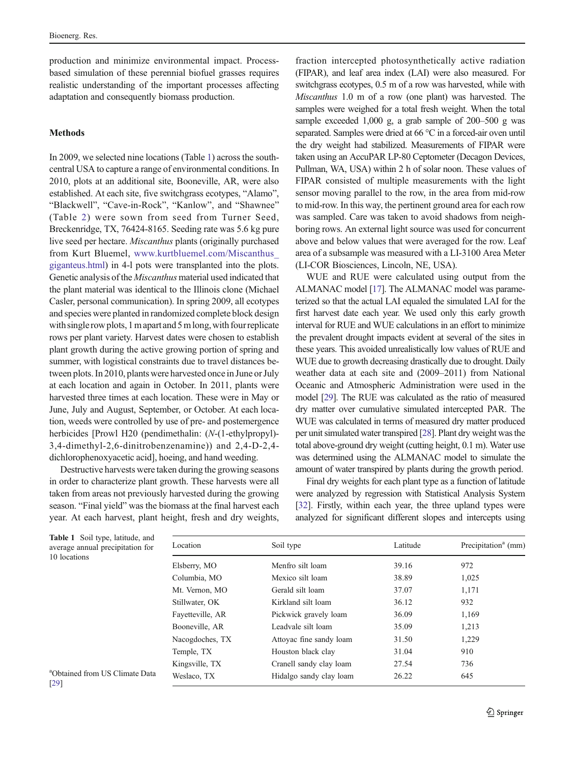production and minimize environmental impact. Processbased simulation of these perennial biofuel grasses requires realistic understanding of the important processes affecting adaptation and consequently biomass production.

# Methods

In 2009, we selected nine locations (Table 1) across the southcentral USA to capture a range of environmental conditions. In 2010, plots at an additional site, Booneville, AR, were also established. At each site, five switchgrass ecotypes, "Alamo", "Blackwell", "Cave-in-Rock", "Kanlow", and "Shawnee" (Table [2](#page-3-0)) were sown from seed from Turner Seed, Breckenridge, TX, 76424-8165. Seeding rate was 5.6 kg pure live seed per hectare. Miscanthus plants (originally purchased from Kurt Bluemel, [www.kurtbluemel.com/Miscanthus\\_](http://www.kurtbluemel.com/Miscanthus_giganteus.html) [giganteus.html\)](http://www.kurtbluemel.com/Miscanthus_giganteus.html) in 4-l pots were transplanted into the plots. Genetic analysis of the Miscanthus material used indicated that the plant material was identical to the Illinois clone (Michael Casler, personal communication). In spring 2009, all ecotypes and species were planted in randomized complete block design with single row plots, 1 m apart and 5 m long, with four replicate rows per plant variety. Harvest dates were chosen to establish plant growth during the active growing portion of spring and summer, with logistical constraints due to travel distances between plots. In 2010, plants were harvested once in June or July at each location and again in October. In 2011, plants were harvested three times at each location. These were in May or June, July and August, September, or October. At each location, weeds were controlled by use of pre- and postemergence herbicides [Prowl H20 (pendimethalin: (N-(1-ethylpropyl)-3,4-dimethyl-2,6-dinitrobenzenamine)) and 2,4-D-2,4 dichlorophenoxyacetic acid], hoeing, and hand weeding.

Destructive harvests were taken during the growing seasons in order to characterize plant growth. These harvests were all taken from areas not previously harvested during the growing season. "Final yield" was the biomass at the final harvest each year. At each harvest, plant height, fresh and dry weights,

fraction intercepted photosynthetically active radiation (FIPAR), and leaf area index (LAI) were also measured. For switchgrass ecotypes, 0.5 m of a row was harvested, while with Miscanthus 1.0 m of a row (one plant) was harvested. The samples were weighed for a total fresh weight. When the total sample exceeded 1,000 g, a grab sample of 200–500 g was separated. Samples were dried at 66 °C in a forced-air oven until the dry weight had stabilized. Measurements of FIPAR were taken using an AccuPAR LP-80 Ceptometer (Decagon Devices, Pullman, WA, USA) within 2 h of solar noon. These values of FIPAR consisted of multiple measurements with the light sensor moving parallel to the row, in the area from mid-row to mid-row. In this way, the pertinent ground area for each row was sampled. Care was taken to avoid shadows from neighboring rows. An external light source was used for concurrent above and below values that were averaged for the row. Leaf area of a subsample was measured with a LI-3100 Area Meter (LI-COR Biosciences, Lincoln, NE, USA).

WUE and RUE were calculated using output from the ALMANAC model [\[17](#page-14-0)]. The ALMANAC model was parameterized so that the actual LAI equaled the simulated LAI for the first harvest date each year. We used only this early growth interval for RUE and WUE calculations in an effort to minimize the prevalent drought impacts evident at several of the sites in these years. This avoided unrealistically low values of RUE and WUE due to growth decreasing drastically due to drought. Daily weather data at each site and (2009–2011) from National Oceanic and Atmospheric Administration were used in the model [\[29](#page-14-0)]. The RUE was calculated as the ratio of measured dry matter over cumulative simulated intercepted PAR. The WUE was calculated in terms of measured dry matter produced per unit simulated water transpired [[28\]](#page-14-0). Plant dry weight was the total above-ground dry weight (cutting height, 0.1 m). Water use was determined using the ALMANAC model to simulate the amount of water transpired by plants during the growth period.

Final dry weights for each plant type as a function of latitude were analyzed by regression with Statistical Analysis System [\[32\]](#page-15-0). Firstly, within each year, the three upland types were analyzed for significant different slopes and intercepts using

| <b>Table 1</b> Soil type, latitude, and |  |
|-----------------------------------------|--|
| average annual precipitation for        |  |
| 10 locations                            |  |

a Obtained from US Climate Data [[29](#page-14-0)]

| Location         | Soil type               | Latitude | Precipitation <sup>a</sup> (mm) |
|------------------|-------------------------|----------|---------------------------------|
| Elsberry, MO     | Menfro silt loam        | 39.16    | 972                             |
| Columbia, MO     | Mexico silt loam        | 38.89    | 1,025                           |
| Mt. Vernon, MO   | Gerald silt loam        | 37.07    | 1,171                           |
| Stillwater, OK   | Kirkland silt loam      | 36.12    | 932                             |
| Fayetteville, AR | Pickwick gravely loam   | 36.09    | 1,169                           |
| Booneville, AR   | Leadvale silt loam      | 35.09    | 1,213                           |
| Nacogdoches, TX  | Attoyac fine sandy loam | 31.50    | 1,229                           |
| Temple, TX       | Houston black clay      | 31.04    | 910                             |
| Kingsville, TX   | Cranell sandy clay loam | 27.54    | 736                             |
| Weslaco, TX      | Hidalgo sandy clay loam | 26.22    | 645                             |
|                  |                         |          |                                 |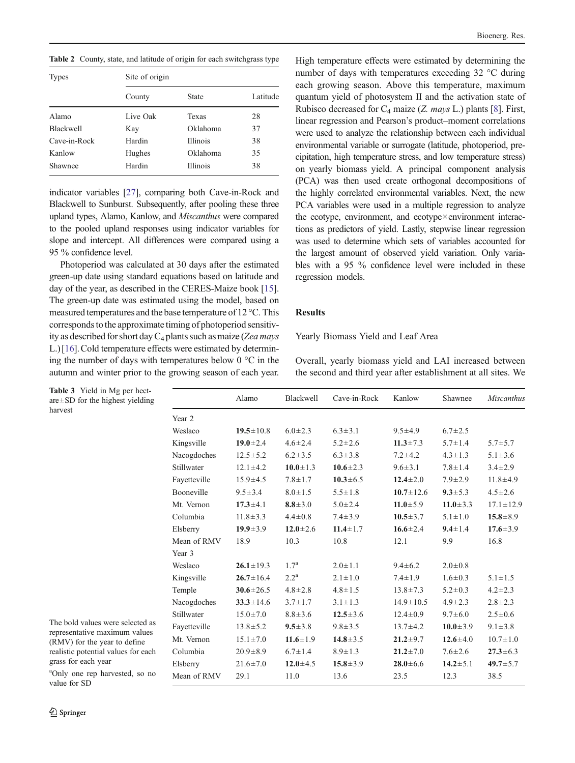<span id="page-3-0"></span>Table 2 County, state, and latitude of origin for each switchgrass type

| <b>Types</b>     | Site of origin |                 |          |  |  |
|------------------|----------------|-----------------|----------|--|--|
|                  | County         | State           | Latitude |  |  |
| Alamo            | Live Oak       | Texas           | 28       |  |  |
| <b>Blackwell</b> | Kay            | Oklahoma        | 37       |  |  |
| Cave-in-Rock     | Hardin         | <b>Illinois</b> | 38       |  |  |
| Kanlow           | Hughes         | Oklahoma        | 35       |  |  |
| Shawnee          | Hardin         | <b>Illinois</b> | 38       |  |  |

indicator variables [[27](#page-14-0)], comparing both Cave-in-Rock and Blackwell to Sunburst. Subsequently, after pooling these three upland types, Alamo, Kanlow, and Miscanthus were compared to the pooled upland responses using indicator variables for slope and intercept. All differences were compared using a 95 % confidence level.

Photoperiod was calculated at 30 days after the estimated green-up date using standard equations based on latitude and day of the year, as described in the CERES-Maize book [[15\]](#page-14-0). The green-up date was estimated using the model, based on measured temperatures and the base temperature of 12 °C. This corresponds to the approximate timing of photoperiod sensitivity as described for short day  $C_4$  plants such as maize (Zea mays L.) [\[16\]](#page-14-0).Cold temperature effects were estimated by determining the number of days with temperatures below  $0^{\circ}$ C in the autumn and winter prior to the growing season of each year.

High temperature effects were estimated by determining the number of days with temperatures exceeding 32 °C during each growing season. Above this temperature, maximum quantum yield of photosystem II and the activation state of Rubisco decreased for  $C_4$  maize (Z. mays L.) plants [\[8](#page-14-0)]. First, linear regression and Pearson's product–moment correlations were used to analyze the relationship between each individual environmental variable or surrogate (latitude, photoperiod, precipitation, high temperature stress, and low temperature stress) on yearly biomass yield. A principal component analysis (PCA) was then used create orthogonal decompositions of the highly correlated environmental variables. Next, the new PCA variables were used in a multiple regression to analyze the ecotype, environment, and ecotype×environment interactions as predictors of yield. Lastly, stepwise linear regression was used to determine which sets of variables accounted for the largest amount of observed yield variation. Only variables with a 95 % confidence level were included in these regression models.

#### Results

Yearly Biomass Yield and Leaf Area

Overall, yearly biomass yield and LAI increased between the second and third year after establishment at all sites. We

|              | Alamo           | Blackwell          | Cave-in-Rock   | Kanlow          | Shawnee        | Miscanthus      |
|--------------|-----------------|--------------------|----------------|-----------------|----------------|-----------------|
| Year 2       |                 |                    |                |                 |                |                 |
| Weslaco      | $19.5 \pm 10.8$ | $6.0 \pm 2.3$      | $6.3 \pm 3.1$  | $9.5 \pm 4.9$   | $6.7 \pm 2.5$  |                 |
| Kingsville   | $19.0 \pm 2.4$  | $4.6 \pm 2.4$      | $5.2 \pm 2.6$  | $11.3 \pm 7.3$  | $5.7 \pm 1.4$  | $5.7 \pm 5.7$   |
| Nacogdoches  | $12.5 \pm 5.2$  | $6.2 \pm 3.5$      | $6.3 \pm 3.8$  | $7.2 \pm 4.2$   | $4.3 \pm 1.3$  | $5.1 \pm 3.6$   |
| Stillwater   | $12.1 \pm 4.2$  | $10.0 \pm 1.3$     | $10.6 \pm 2.3$ | $9.6 \pm 3.1$   | $7.8 \pm 1.4$  | $3.4 \pm 2.9$   |
| Fayetteville | $15.9 \pm 4.5$  | $7.8 \pm 1.7$      | $10.3 \pm 6.5$ | $12.4 \pm 2.0$  | $7.9 \pm 2.9$  | $11.8 \pm 4.9$  |
| Booneville   | $9.5 \pm 3.4$   | $8.0 \pm 1.5$      | $5.5 \pm 1.8$  | $10.7 \pm 12.6$ | $9.3 \pm 5.3$  | $4.5 \pm 2.6$   |
| Mt. Vernon   | $17.3 \pm 4.1$  | $8.8 \pm 3.0$      | $5.0 \pm 2.4$  | $11.0 \pm 5.9$  | $11.0 \pm 3.3$ | $17.1 \pm 12.9$ |
| Columbia     | $11.8 \pm 3.3$  | $4.4 \pm 0.8$      | $7.4 \pm 3.9$  | $10.5 \pm 3.7$  | $5.1 \pm 1.0$  | $15.8 \pm 8.9$  |
| Elsberry     | $19.9 \pm 3.9$  | $12.0 \pm 2.6$     | $11.4 \pm 1.7$ | $16.6 \pm 2.4$  | $9.4 \pm 1.4$  | $17.6 \pm 3.9$  |
| Mean of RMV  | 18.9            | 10.3               | 10.8           | 12.1            | 9.9            | 16.8            |
| Year 3       |                 |                    |                |                 |                |                 |
| Weslaco      | $26.1 \pm 19.3$ | $1.7^{\rm a}$      | $2.0 \pm 1.1$  | $9.4 \pm 6.2$   | $2.0 \pm 0.8$  |                 |
| Kingsville   | $26.7 \pm 16.4$ | $2.2^{\mathrm{a}}$ | $2.1 \pm 1.0$  | $7.4 \pm 1.9$   | $1.6 \pm 0.3$  | $5.1 \pm 1.5$   |
| Temple       | $30.6 \pm 26.5$ | $4.8 \pm 2.8$      | $4.8 \pm 1.5$  | $13.8 \pm 7.3$  | $5.2 \pm 0.3$  | $4.2 \pm 2.3$   |
| Nacogdoches  | $33.3 \pm 14.6$ | $3.7 \pm 1.7$      | $3.1 \pm 1.3$  | $14.9 \pm 10.5$ | $4.9 \pm 2.3$  | $2.8 \pm 2.3$   |
| Stillwater   | $15.0 \pm 7.0$  | $8.8 \pm 3.6$      | $12.5 \pm 3.6$ | $12.4 \pm 0.9$  | $9.7 \pm 6.0$  | $2.5 \pm 0.6$   |
| Fayetteville | $13.8 \pm 5.2$  | $9.5 \pm 3.8$      | $9.8 \pm 3.5$  | $13.7 \pm 4.2$  | $10.0 \pm 3.9$ | $9.1 \pm 3.8$   |
| Mt. Vernon   | $15.1 \pm 7.0$  | $11.6 \pm 1.9$     | $14.8 \pm 3.5$ | $21.2 \pm 9.7$  | $12.6 \pm 4.0$ | $10.7 \pm 1.0$  |
| Columbia     | $20.9 \pm 8.9$  | $6.7 \pm 1.4$      | $8.9 \pm 1.3$  | $21.2 \pm 7.0$  | $7.6 \pm 2.6$  | $27.3 \pm 6.3$  |
| Elsberry     | $21.6 \pm 7.0$  | $12.0 \pm 4.5$     | $15.8 \pm 3.9$ | $28.0 \pm 6.6$  | $14.2 \pm 5.1$ | $49.7 \pm 5.7$  |
| Mean of RMV  | 29.1            | 11.0               | 13.6           | 23.5            | 12.3           | 38.5            |
|              |                 |                    |                |                 |                |                 |

Table 3 Yield in Mg per hectare±SD for the highest yielding harvest

The bold values were selected as representative maximum values (RMV) for the year to define realistic potential values for each grass for each year

a Only one rep harvested, so no value for SD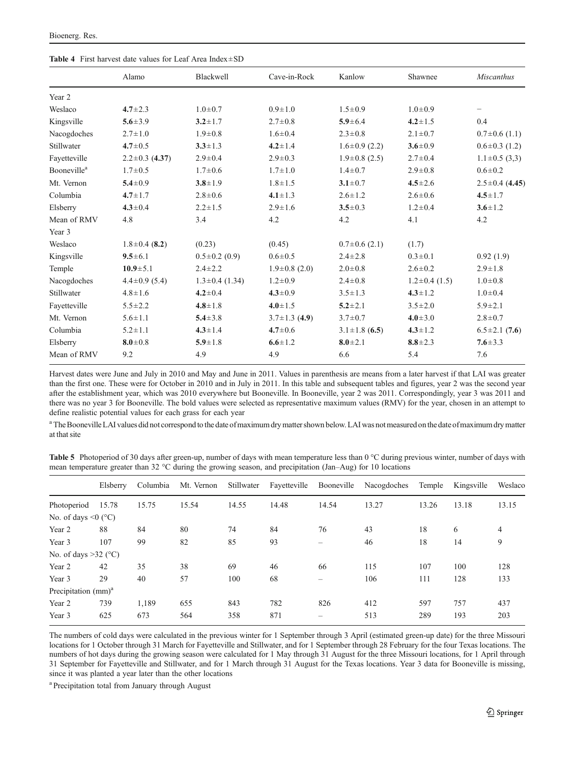<span id="page-4-0"></span>

|                                | Alamo                | Blackwell            | Cave-in-Rock        | Kanlow              | Shawnee          | <b>Miscanthus</b>    |
|--------------------------------|----------------------|----------------------|---------------------|---------------------|------------------|----------------------|
|                                |                      |                      |                     |                     |                  |                      |
| Year 2                         |                      |                      |                     |                     |                  |                      |
| Weslaco                        | $4.7 \pm 2.3$        | $1.0 \pm 0.7$        | $0.9 \pm 1.0$       | $1.5 \pm 0.9$       | $1.0 \pm 0.9$    | -                    |
| Kingsville                     | $5.6 \pm 3.9$        | $3.2 \pm 1.7$        | $2.7 \pm 0.8$       | $5.9 \pm 6.4$       | $4.2 \pm 1.5$    | 0.4                  |
| Nacogdoches                    | $2.7 \pm 1.0$        | $1.9 + 0.8$          | $1.6 \pm 0.4$       | $2.3 \pm 0.8$       | $2.1 \pm 0.7$    | $0.7\pm0.6$ (1.1)    |
| Stillwater                     | $4.7 \pm 0.5$        | $3.3 \pm 1.3$        | $4.2 \pm 1.4$       | $1.6\pm0.9(2.2)$    | $3.6 \pm 0.9$    | $0.6\pm0.3$ (1.2)    |
| Fayetteville                   | $2.2 \pm 0.3$ (4.37) | $2.9 \pm 0.4$        | $2.9 \pm 0.3$       | $1.9\pm0.8$ (2.5)   | $2.7 \pm 0.4$    | $1.1 \pm 0.5$ (3,3)  |
| <b>Booneville</b> <sup>a</sup> | $1.7 \pm 0.5$        | $1.7 \pm 0.6$        | $1.7 \pm 1.0$       | $1.4 \pm 0.7$       | $2.9 \pm 0.8$    | $0.6 \pm 0.2$        |
| Mt. Vernon                     | $5.4 \pm 0.9$        | $3.8 \pm 1.9$        | $1.8 \pm 1.5$       | $3.1 \pm 0.7$       | $4.5 \pm 2.6$    | $2.5 \pm 0.4$ (4.45) |
| Columbia                       | $4.7 \pm 1.7$        | $2.8 \pm 0.6$        | $4.1 \pm 1.3$       | $2.6 \pm 1.2$       | $2.6 \pm 0.6$    | $4.5 \pm 1.7$        |
| Elsberry                       | $4.3 \pm 0.4$        | $2.2 \pm 1.5$        | $2.9 \pm 1.6$       | $3.5 \pm 0.3$       | $1.2 \pm 0.4$    | $3.6 \pm 1.2$        |
| Mean of RMV                    | 4.8                  | 3.4                  | 4.2                 | 4.2                 | 4.1              | 4.2                  |
| Year 3                         |                      |                      |                     |                     |                  |                      |
| Weslaco                        | $1.8 \pm 0.4$ (8.2)  | (0.23)               | (0.45)              | $0.7\pm0.6$ (2.1)   | (1.7)            |                      |
| Kingsville                     | $9.5 \pm 6.1$        | $0.5 \pm 0.2$ (0.9)  | $0.6 \pm 0.5$       | $2.4 \pm 2.8$       | $0.3 \pm 0.1$    | 0.92(1.9)            |
| Temple                         | $10.9 + 5.1$         | $2.4 \pm 2.2$        | $1.9\pm0.8$ (2.0)   | $2.0 \pm 0.8$       | $2.6 \pm 0.2$    | $2.9 \pm 1.8$        |
| Nacogdoches                    | $4.4 \pm 0.9$ (5.4)  | $1.3 \pm 0.4$ (1.34) | $1.2 \pm 0.9$       | $2.4 \pm 0.8$       | $1.2\pm0.4(1.5)$ | $1.0 \pm 0.8$        |
| Stillwater                     | $4.8 \pm 1.6$        | $4.2 \pm 0.4$        | $4.3 \pm 0.9$       | $3.5 \pm 1.3$       | $4.3 \pm 1.2$    | $1.0 \pm 0.4$        |
| Fayetteville                   | $5.5 \pm 2.2$        | $4.8 \pm 1.8$        | $4.0 \pm 1.5$       | $5.2 \pm 2.1$       | $3.5 \pm 2.0$    | $5.9 \pm 2.1$        |
| Mt. Vernon                     | $5.6 \pm 1.1$        | $5.4 \pm 3.8$        | $3.7 \pm 1.3$ (4.9) | $3.7 \pm 0.7$       | $4.0 \pm 3.0$    | $2.8 \pm 0.7$        |
| Columbia                       | $5.2 \pm 1.1$        | $4.3 \pm 1.4$        | $4.7 \pm 0.6$       | $3.1 \pm 1.8$ (6.5) | $4.3 \pm 1.2$    | $6.5 \pm 2.1$ (7.6)  |
| Elsberry                       | $8.0 \pm 0.8$        | $5.9 \pm 1.8$        | $6.6 \pm 1.2$       | $8.0 \pm 2.1$       | $8.8 \pm 2.3$    | $7.6 \pm 3.3$        |
| Mean of RMV                    | 9.2                  | 4.9                  | 4.9                 | 6.6                 | 5.4              | 7.6                  |
|                                |                      |                      |                     |                     |                  |                      |

Harvest dates were June and July in 2010 and May and June in 2011. Values in parenthesis are means from a later harvest if that LAI was greater than the first one. These were for October in 2010 and in July in 2011. In this table and subsequent tables and figures, year 2 was the second year after the establishment year, which was 2010 everywhere but Booneville. In Booneville, year 2 was 2011. Correspondingly, year 3 was 2011 and there was no year 3 for Booneville. The bold values were selected as representative maximum values (RMV) for the year, chosen in an attempt to define realistic potential values for each grass for each year

<sup>a</sup> The Booneville LAI values did not correspond to the date of maximum dry matter shown below. LAI was not measured on the date of maximum dry matter at that site

Table 5 Photoperiod of 30 days after green-up, number of days with mean temperature less than 0 °C during previous winter, number of days with mean temperature greater than 32 °C during the growing season, and precipitation (Jan–Aug) for 10 locations

|                                        | Elsberry | Columbia | Mt. Vernon |       | Stillwater Fayetteville Booneville |       | Nacogdoches | Temple | Kingsville | Weslaco |
|----------------------------------------|----------|----------|------------|-------|------------------------------------|-------|-------------|--------|------------|---------|
| Photoperiod                            | 15.78    | 15.75    | 15.54      | 14.55 | 14.48                              | 14.54 | 13.27       | 13.26  | 13.18      | 13.15   |
| No. of days $\leq 0$ (°C)              |          |          |            |       |                                    |       |             |        |            |         |
| Year 2                                 | 88       | 84       | 80         | 74    | 84                                 | 76    | 43          | 18     | 6          | 4       |
| Year 3                                 | 107      | 99       | 82         | 85    | 93                                 | -     | 46          | 18     | 14         | 9       |
| No. of days $>32$ (°C)                 |          |          |            |       |                                    |       |             |        |            |         |
| Year 2                                 | 42       | 35       | 38         | 69    | 46                                 | 66    | 115         | 107    | 100        | 128     |
| Year 3                                 | 29       | 40       | 57         | 100   | 68                                 |       | 106         | 111    | 128        | 133     |
| Precipitation $\text{(mm)}^{\text{a}}$ |          |          |            |       |                                    |       |             |        |            |         |
| Year 2                                 | 739      | 1.189    | 655        | 843   | 782                                | 826   | 412         | 597    | 757        | 437     |
| Year 3                                 | 625      | 673      | 564        | 358   | 871                                | -     | 513         | 289    | 193        | 203     |
|                                        |          |          |            |       |                                    |       |             |        |            |         |

The numbers of cold days were calculated in the previous winter for 1 September through 3 April (estimated green-up date) for the three Missouri locations for 1 October through 31 March for Fayetteville and Stillwater, and for 1 September through 28 February for the four Texas locations. The numbers of hot days during the growing season were calculated for 1 May through 31 August for the three Missouri locations, for 1 April through 31 September for Fayetteville and Stillwater, and for 1 March through 31 August for the Texas locations. Year 3 data for Booneville is missing, since it was planted a year later than the other locations

<sup>a</sup> Precipitation total from January through August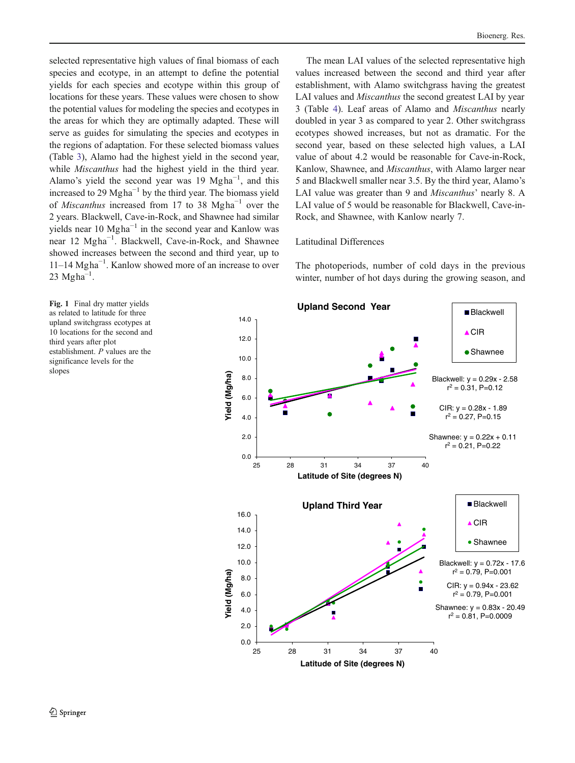<span id="page-5-0"></span>selected representative high values of final biomass of each species and ecotype, in an attempt to define the potential yields for each species and ecotype within this group of locations for these years. These values were chosen to show the potential values for modeling the species and ecotypes in the areas for which they are optimally adapted. These will serve as guides for simulating the species and ecotypes in the regions of adaptation. For these selected biomass values (Table [3](#page-3-0)), Alamo had the highest yield in the second year, while *Miscanthus* had the highest yield in the third year. Alamo's yield the second year was 19 Mgha<sup>-1</sup>, and this increased to 29 Mgha<sup> $-1$ </sup> by the third year. The biomass yield of Miscanthus increased from 17 to 38 Mgha−<sup>1</sup> over the 2 years. Blackwell, Cave-in-Rock, and Shawnee had similar yields near 10 Mgha−<sup>1</sup> in the second year and Kanlow was near 12 Mgha<sup>-1</sup>. Blackwell, Cave-in-Rock, and Shawnee showed increases between the second and third year, up to 11–14 Mgha−<sup>1</sup> . Kanlow showed more of an increase to over  $23$  Mgha<sup>-1</sup>.

Bioenerg. Res.

The mean LAI values of the selected representative high values increased between the second and third year after establishment, with Alamo switchgrass having the greatest LAI values and *Miscanthus* the second greatest LAI by year 3 (Table [4\)](#page-4-0). Leaf areas of Alamo and Miscanthus nearly doubled in year 3 as compared to year 2. Other switchgrass ecotypes showed increases, but not as dramatic. For the second year, based on these selected high values, a LAI value of about 4.2 would be reasonable for Cave-in-Rock, Kanlow, Shawnee, and Miscanthus, with Alamo larger near 5 and Blackwell smaller near 3.5. By the third year, Alamo's LAI value was greater than 9 and *Miscanthus'* nearly 8. A LAI value of 5 would be reasonable for Blackwell, Cave-in-Rock, and Shawnee, with Kanlow nearly 7.

## Latitudinal Differences

The photoperiods, number of cold days in the previous winter, number of hot days during the growing season, and

Fig. 1 Final dry matter yields as related to latitude for three upland switchgrass ecotypes at 10 locations for the second and third years after plot establishment. P values are the significance levels for the slopes

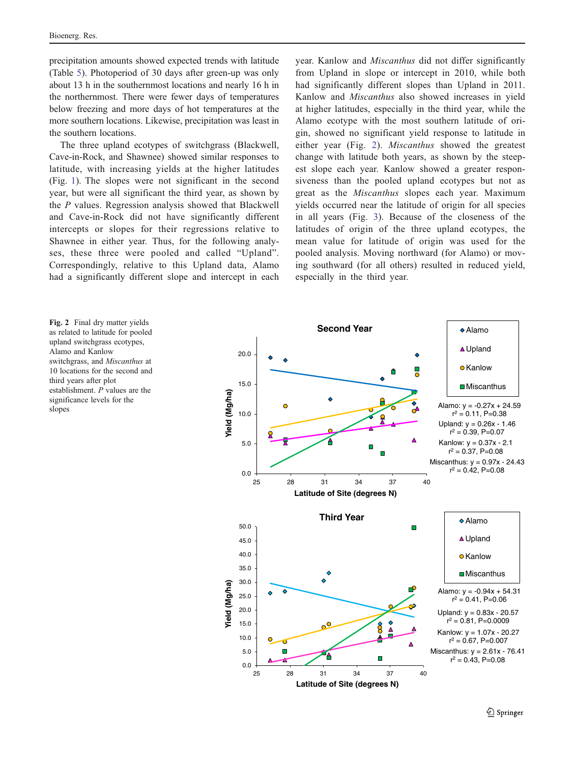precipitation amounts showed expected trends with latitude (Table [5\)](#page-4-0). Photoperiod of 30 days after green-up was only about 13 h in the southernmost locations and nearly 16 h in the northernmost. There were fewer days of temperatures below freezing and more days of hot temperatures at the more southern locations. Likewise, precipitation was least in the southern locations.

The three upland ecotypes of switchgrass (Blackwell, Cave-in-Rock, and Shawnee) showed similar responses to latitude, with increasing yields at the higher latitudes (Fig. [1\)](#page-5-0). The slopes were not significant in the second year, but were all significant the third year, as shown by the P values. Regression analysis showed that Blackwell and Cave-in-Rock did not have significantly different intercepts or slopes for their regressions relative to Shawnee in either year. Thus, for the following analyses, these three were pooled and called "Upland". Correspondingly, relative to this Upland data, Alamo had a significantly different slope and intercept in each year. Kanlow and Miscanthus did not differ significantly from Upland in slope or intercept in 2010, while both had significantly different slopes than Upland in 2011. Kanlow and Miscanthus also showed increases in yield at higher latitudes, especially in the third year, while the Alamo ecotype with the most southern latitude of origin, showed no significant yield response to latitude in either year (Fig. 2). Miscanthus showed the greatest change with latitude both years, as shown by the steepest slope each year. Kanlow showed a greater responsiveness than the pooled upland ecotypes but not as great as the Miscanthus slopes each year. Maximum yields occurred near the latitude of origin for all species in all years (Fig. [3\)](#page-7-0). Because of the closeness of the latitudes of origin of the three upland ecotypes, the mean value for latitude of origin was used for the pooled analysis. Moving northward (for Alamo) or moving southward (for all others) resulted in reduced yield, especially in the third year.

Fig. 2 Final dry matter yields as related to latitude for pooled upland switchgrass ecotypes, Alamo and Kanlow switchgrass, and Miscanthus at 10 locations for the second and third years after plot establishment. P values are the significance levels for the slopes

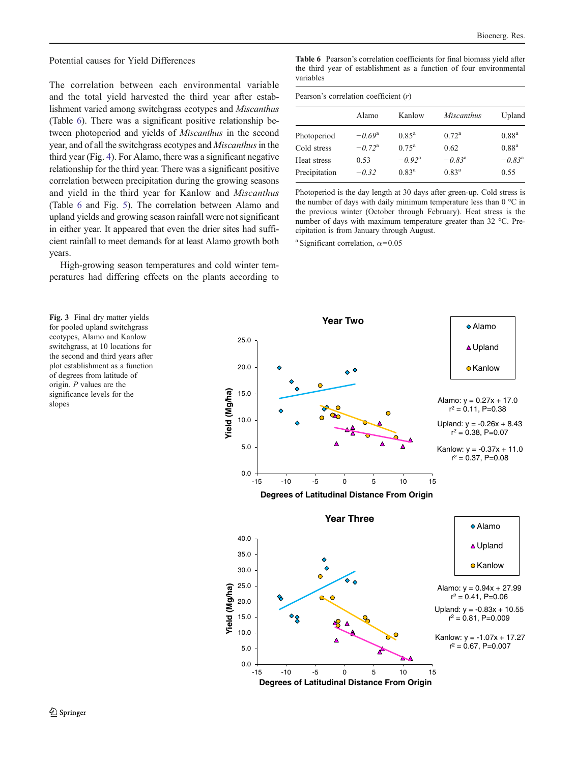<span id="page-7-0"></span>Potential causes for Yield Differences

The correlation between each environmental variable and the total yield harvested the third year after establishment varied among switchgrass ecotypes and Miscanthus (Table 6). There was a significant positive relationship between photoperiod and yields of Miscanthus in the second year, and of all the switchgrass ecotypes and *Miscanthus* in the third year (Fig. [4](#page-8-0)). For Alamo, there was a significant negative relationship for the third year. There was a significant positive correlation between precipitation during the growing seasons and yield in the third year for Kanlow and Miscanthus (Table 6 and Fig. [5\)](#page-9-0). The correlation between Alamo and upland yields and growing season rainfall were not significant in either year. It appeared that even the drier sites had sufficient rainfall to meet demands for at least Alamo growth both years.

High-growing season temperatures and cold winter temperatures had differing effects on the plants according to

Fig. 3 Final dry matter yields for pooled upland switchgrass ecotypes, Alamo and Kanlow switchgrass, at 10 locations for the second and third years after plot establishment as a function of degrees from latitude of origin. P values are the significance levels for the slopes

Table 6 Pearson's correlation coefficients for final biomass yield after the third year of establishment as a function of four environmental variables

| Pearson's correlation coefficient $(r)$ |                 |                 |                   |                 |  |  |  |
|-----------------------------------------|-----------------|-----------------|-------------------|-----------------|--|--|--|
|                                         | Alamo           | Kanlow          | <i>Miscanthus</i> | Upland          |  |  |  |
| Photoperiod                             | $-0.69^{\rm a}$ | $0.85^{\rm a}$  | $0.72^{\rm a}$    | $0.88^{a}$      |  |  |  |
| Cold stress                             | $-0.72^{\rm a}$ | $0.75^{\rm a}$  | 0.62              | $0.88^{a}$      |  |  |  |
| Heat stress                             | 0.53            | $-0.92^{\rm a}$ | $-0.83^{\rm a}$   | $-0.83^{\rm a}$ |  |  |  |
| Precipitation                           | $-0.32$         | $0.83^{\rm a}$  | $0.83^{\rm a}$    | 0.55            |  |  |  |

Photoperiod is the day length at 30 days after green-up. Cold stress is the number of days with daily minimum temperature less than 0 °C in the previous winter (October through February). Heat stress is the number of days with maximum temperature greater than 32 °C. Precipitation is from January through August.

<sup>a</sup> Significant correlation,  $\alpha$ =0.05

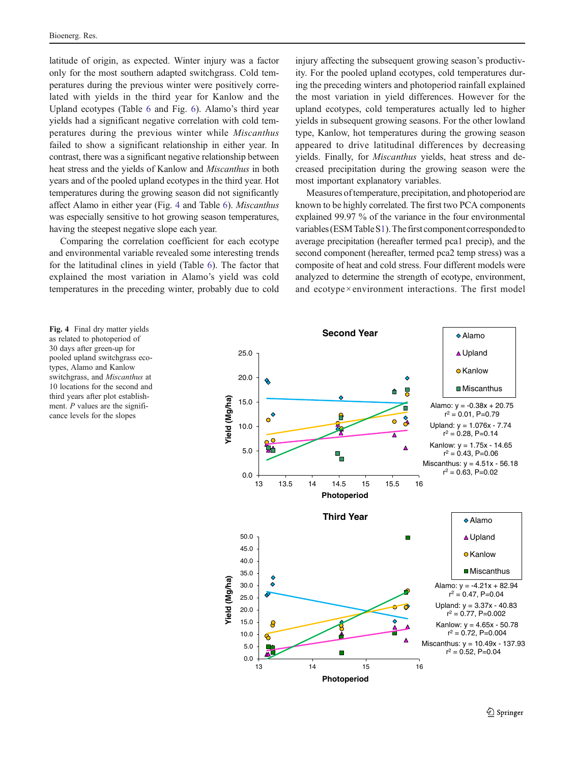<span id="page-8-0"></span>latitude of origin, as expected. Winter injury was a factor only for the most southern adapted switchgrass. Cold temperatures during the previous winter were positively correlated with yields in the third year for Kanlow and the Upland ecotypes (Table [6](#page-7-0) and Fig. [6\)](#page-10-0). Alamo's third year yields had a significant negative correlation with cold temperatures during the previous winter while Miscanthus failed to show a significant relationship in either year. In contrast, there was a significant negative relationship between heat stress and the yields of Kanlow and Miscanthus in both years and of the pooled upland ecotypes in the third year. Hot temperatures during the growing season did not significantly affect Alamo in either year (Fig. <sup>4</sup> and Table [6\)](#page-7-0). Miscanthus was especially sensitive to hot growing season temperatures, having the steepest negative slope each year.

Comparing the correlation coefficient for each ecotype and environmental variable revealed some interesting trends for the latitudinal clines in yield (Table [6\)](#page-7-0). The factor that explained the most variation in Alamo's yield was cold temperatures in the preceding winter, probably due to cold

injury affecting the subsequent growing season's productivity. For the pooled upland ecotypes, cold temperatures during the preceding winters and photoperiod rainfall explained the most variation in yield differences. However for the upland ecotypes, cold temperatures actually led to higher yields in subsequent growing seasons. For the other lowland type, Kanlow, hot temperatures during the growing season appeared to drive latitudinal differences by decreasing yields. Finally, for Miscanthus yields, heat stress and decreased precipitation during the growing season were the most important explanatory variables.

Measures of temperature, precipitation, and photoperiod are known to be highly correlated. The first two PCA components explained 99.97 % of the variance in the four environmental variables (ESM Table S1). The first component corresponded to average precipitation (hereafter termed pca1 precip), and the second component (hereafter, termed pca2 temp stress) was a composite of heat and cold stress. Four different models were analyzed to determine the strength of ecotype, environment, and ecotype×environment interactions. The first model



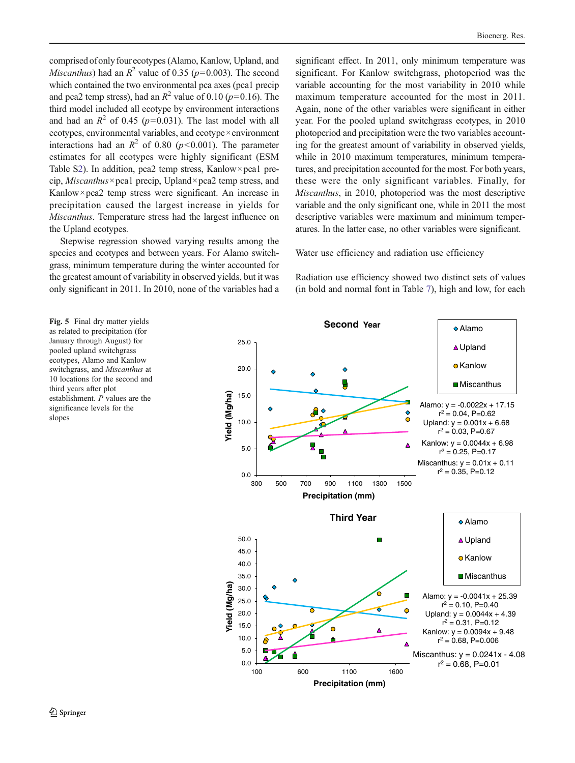<span id="page-9-0"></span>comprised of only four ecotypes (Alamo, Kanlow, Upland, and *Miscanthus*) had an  $R^2$  value of 0.35 ( $p=0.003$ ). The second which contained the two environmental pca axes (pca1 precip and pca2 temp stress), had an  $R^2$  value of 0.10 (p=0.16). The third model included all ecotype by environment interactions and had an  $R^2$  of 0.45 (p=0.031). The last model with all ecotypes, environmental variables, and ecotype×environment interactions had an  $R^2$  of 0.80 (p<0.001). The parameter estimates for all ecotypes were highly significant (ESM Table S2). In addition, pca2 temp stress, Kanlow×pca1 precip, *Miscanthus*×pca1 precip, Upland×pca2 temp stress, and Kanlow×pca2 temp stress were significant. An increase in precipitation caused the largest increase in yields for Miscanthus. Temperature stress had the largest influence on the Upland ecotypes.

Stepwise regression showed varying results among the species and ecotypes and between years. For Alamo switchgrass, minimum temperature during the winter accounted for the greatest amount of variability in observed yields, but it was only significant in 2011. In 2010, none of the variables had a

significant effect. In 2011, only minimum temperature was significant. For Kanlow switchgrass, photoperiod was the variable accounting for the most variability in 2010 while maximum temperature accounted for the most in 2011. Again, none of the other variables were significant in either year. For the pooled upland switchgrass ecotypes, in 2010 photoperiod and precipitation were the two variables accounting for the greatest amount of variability in observed yields, while in 2010 maximum temperatures, minimum temperatures, and precipitation accounted for the most. For both years, these were the only significant variables. Finally, for Miscanthus, in 2010, photoperiod was the most descriptive variable and the only significant one, while in 2011 the most descriptive variables were maximum and minimum temperatures. In the latter case, no other variables were significant.

Water use efficiency and radiation use efficiency

Radiation use efficiency showed two distinct sets of values (in bold and normal font in Table [7\)](#page-12-0), high and low, for each

Fig. 5 Final dry matter yields as related to precipitation (for January through August) for pooled upland switchgrass ecotypes, Alamo and Kanlow switchgrass, and Miscanthus at 10 locations for the second and third years after plot establishment. P values are the significance levels for the slopes

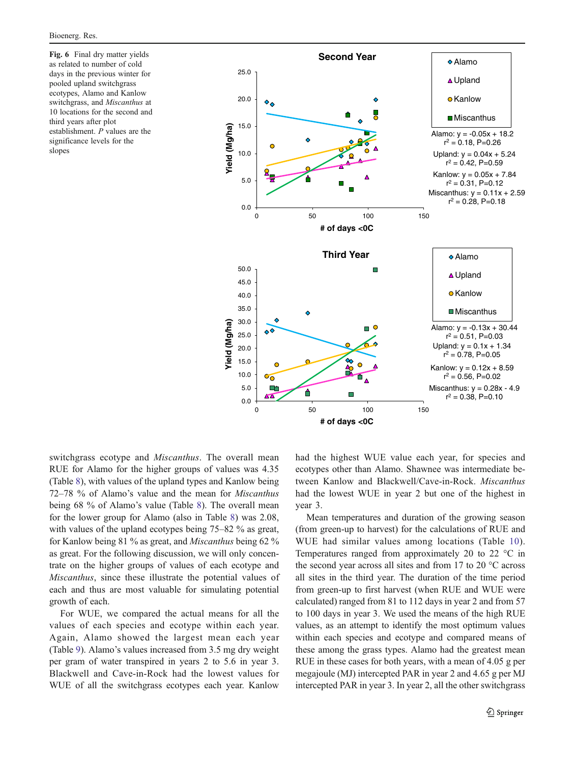<span id="page-10-0"></span>Fig. 6 Final dry matter yields as related to number of cold days in the previous winter for pooled upland switchgrass ecotypes, Alamo and Kanlow switchgrass, and Miscanthus at 10 locations for the second and third years after plot establishment. P values are the significance levels for the slopes



switchgrass ecotype and Miscanthus. The overall mean RUE for Alamo for the higher groups of values was 4.35 (Table [8](#page-12-0)), with values of the upland types and Kanlow being <sup>72</sup>–78 % of Alamo's value and the mean for Miscanthus being 68 % of Alamo's value (Table [8\)](#page-12-0). The overall mean for the lower group for Alamo (also in Table [8\)](#page-12-0) was 2.08, with values of the upland ecotypes being 75–82 % as great, for Kanlow being 81 % as great, and Miscanthus being 62 % as great. For the following discussion, we will only concentrate on the higher groups of values of each ecotype and Miscanthus, since these illustrate the potential values of each and thus are most valuable for simulating potential growth of each.

For WUE, we compared the actual means for all the values of each species and ecotype within each year. Again, Alamo showed the largest mean each year (Table [9\)](#page-13-0). Alamo's values increased from 3.5 mg dry weight per gram of water transpired in years 2 to 5.6 in year 3. Blackwell and Cave-in-Rock had the lowest values for WUE of all the switchgrass ecotypes each year. Kanlow had the highest WUE value each year, for species and ecotypes other than Alamo. Shawnee was intermediate between Kanlow and Blackwell/Cave-in-Rock. Miscanthus had the lowest WUE in year 2 but one of the highest in year 3.

Mean temperatures and duration of the growing season (from green-up to harvest) for the calculations of RUE and WUE had similar values among locations (Table [10](#page-13-0)). Temperatures ranged from approximately 20 to 22 °C in the second year across all sites and from 17 to 20 °C across all sites in the third year. The duration of the time period from green-up to first harvest (when RUE and WUE were calculated) ranged from 81 to 112 days in year 2 and from 57 to 100 days in year 3. We used the means of the high RUE values, as an attempt to identify the most optimum values within each species and ecotype and compared means of these among the grass types. Alamo had the greatest mean RUE in these cases for both years, with a mean of 4.05 g per megajoule (MJ) intercepted PAR in year 2 and 4.65 g per MJ intercepted PAR in year 3. In year 2, all the other switchgrass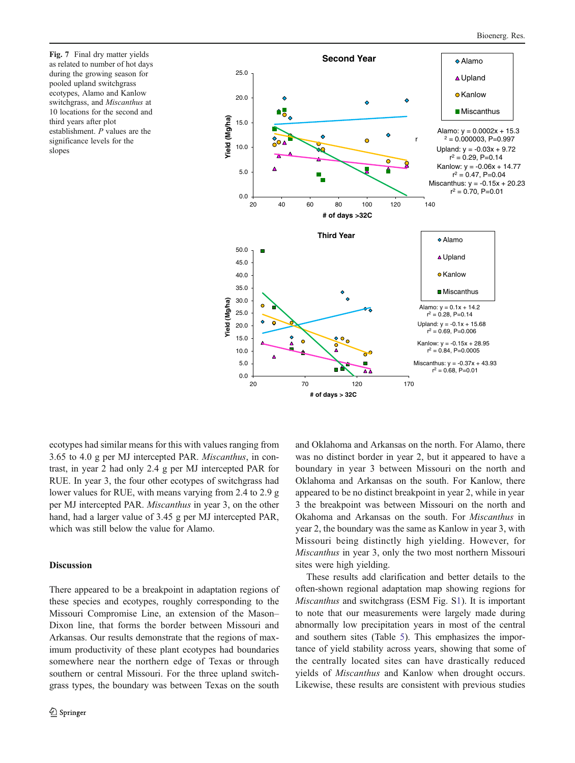Fig. 7 Final dry matter yields as related to number of hot days during the growing season for pooled upland switchgrass ecotypes, Alamo and Kanlow switchgrass, and Miscanthus at 10 locations for the second and third years after plot establishment. P values are the significance levels for the slopes



ecotypes had similar means for this with values ranging from 3.65 to 4.0 g per MJ intercepted PAR. Miscanthus, in contrast, in year 2 had only 2.4 g per MJ intercepted PAR for RUE. In year 3, the four other ecotypes of switchgrass had lower values for RUE, with means varying from 2.4 to 2.9 g per MJ intercepted PAR. Miscanthus in year 3, on the other hand, had a larger value of 3.45 g per MJ intercepted PAR, which was still below the value for Alamo.

# Discussion

There appeared to be a breakpoint in adaptation regions of these species and ecotypes, roughly corresponding to the Missouri Compromise Line, an extension of the Mason– Dixon line, that forms the border between Missouri and Arkansas. Our results demonstrate that the regions of maximum productivity of these plant ecotypes had boundaries somewhere near the northern edge of Texas or through southern or central Missouri. For the three upland switchgrass types, the boundary was between Texas on the south

and Oklahoma and Arkansas on the north. For Alamo, there was no distinct border in year 2, but it appeared to have a boundary in year 3 between Missouri on the north and Oklahoma and Arkansas on the south. For Kanlow, there appeared to be no distinct breakpoint in year 2, while in year 3 the breakpoint was between Missouri on the north and Okahoma and Arkansas on the south. For Miscanthus in year 2, the boundary was the same as Kanlow in year 3, with Missouri being distinctly high yielding. However, for Miscanthus in year 3, only the two most northern Missouri sites were high yielding.

These results add clarification and better details to the often-shown regional adaptation map showing regions for Miscanthus and switchgrass (ESM Fig. S1). It is important to note that our measurements were largely made during abnormally low precipitation years in most of the central and southern sites (Table [5](#page-4-0)). This emphasizes the importance of yield stability across years, showing that some of the centrally located sites can have drastically reduced yields of Miscanthus and Kanlow when drought occurs. Likewise, these results are consistent with previous studies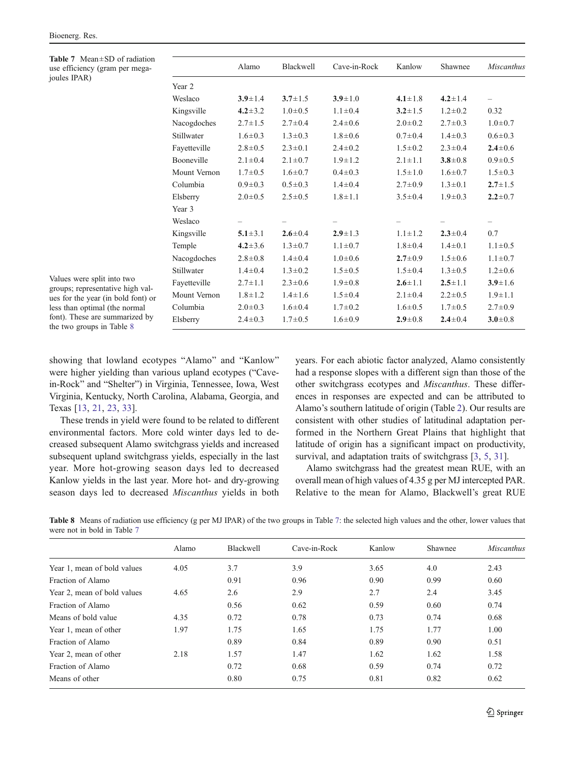<span id="page-12-0"></span>Table 7 Mean±SD of radiation use efficiency (gram per megajoules IPAR)

|              | Alamo         | Blackwell     | Cave-in-Rock  | Kanlow        | Shawnee       | <b>Miscanthus</b>        |
|--------------|---------------|---------------|---------------|---------------|---------------|--------------------------|
| Year 2       |               |               |               |               |               |                          |
| Weslaco      | $3.9 \pm 1.4$ | $3.7 \pm 1.5$ | $3.9 \pm 1.0$ | $4.1 \pm 1.8$ | $4.2 \pm 1.4$ | $\overline{\phantom{0}}$ |
| Kingsville   | $4.2 \pm 3.2$ | $1.0 \pm 0.5$ | $1.1 \pm 0.4$ | $3.2 \pm 1.5$ | $1.2 \pm 0.2$ | 0.32                     |
| Nacogdoches  | $2.7 \pm 1.5$ | $2.7 \pm 0.4$ | $2.4 \pm 0.6$ | $2.0 \pm 0.2$ | $2.7 \pm 0.3$ | $1.0 \pm 0.7$            |
| Stillwater   | $1.6 \pm 0.3$ | $1.3 \pm 0.3$ | $1.8 \pm 0.6$ | $0.7 \pm 0.4$ | $1.4 \pm 0.3$ | $0.6 + 0.3$              |
| Fayetteville | $2.8 \pm 0.5$ | $2.3 \pm 0.1$ | $2.4 \pm 0.2$ | $1.5 \pm 0.2$ | $2.3 \pm 0.4$ | $2.4 \pm 0.6$            |
| Booneville   | $2.1 \pm 0.4$ | $2.1 \pm 0.7$ | $1.9 \pm 1.2$ | $2.1 \pm 1.1$ | $3.8 \pm 0.8$ | $0.9 \pm 0.5$            |
| Mount Vernon | $1.7 \pm 0.5$ | $1.6 \pm 0.7$ | $0.4 \pm 0.3$ | $1.5 \pm 1.0$ | $1.6 \pm 0.7$ | $1.5 \pm 0.3$            |
| Columbia     | $0.9 \pm 0.3$ | $0.5 \pm 0.3$ | $1.4 \pm 0.4$ | $2.7 \pm 0.9$ | $1.3 \pm 0.1$ | $2.7 \pm 1.5$            |
| Elsberry     | $2.0 \pm 0.5$ | $2.5 \pm 0.5$ | $1.8 \pm 1.1$ | $3.5 \pm 0.4$ | $1.9 \pm 0.3$ | $2.2 \pm 0.7$            |
| Year 3       |               |               |               |               |               |                          |
| Weslaco      |               |               |               |               |               | $\overline{\phantom{m}}$ |
| Kingsville   | $5.1 \pm 3.1$ | $2.6 \pm 0.4$ | $2.9 \pm 1.3$ | $1.1 \pm 1.2$ | $2.3 \pm 0.4$ | 0.7                      |
| Temple       | $4.2 \pm 3.6$ | $1.3 \pm 0.7$ | $1.1 \pm 0.7$ | $1.8 \pm 0.4$ | $1.4 \pm 0.1$ | $1.1 \pm 0.5$            |
| Nacogdoches  | $2.8 \pm 0.8$ | $1.4 \pm 0.4$ | $1.0 \pm 0.6$ | $2.7 \pm 0.9$ | $1.5 \pm 0.6$ | $1.1 \pm 0.7$            |
| Stillwater   | $1.4 \pm 0.4$ | $1.3 \pm 0.2$ | $1.5 \pm 0.5$ | $1.5 \pm 0.4$ | $1.3 \pm 0.5$ | $1.2 \pm 0.6$            |
| Fayetteville | $2.7 \pm 1.1$ | $2.3 \pm 0.6$ | $1.9 \pm 0.8$ | $2.6 \pm 1.1$ | $2.5 \pm 1.1$ | $3.9 \pm 1.6$            |
| Mount Vernon | $1.8 \pm 1.2$ | $1.4 \pm 1.6$ | $1.5 \pm 0.4$ | $2.1 \pm 0.4$ | $2.2 \pm 0.5$ | $1.9 \pm 1.1$            |
| Columbia     | $2.0 \pm 0.3$ | $1.6 \pm 0.4$ | $1.7 \pm 0.2$ | $1.6 \pm 0.5$ | $1.7 \pm 0.5$ | $2.7 \pm 0.9$            |
| Elsberry     | $2.4 \pm 0.3$ | $1.7 \pm 0.5$ | $1.6 \pm 0.9$ | $2.9 \pm 0.8$ | $2.4 \pm 0.4$ | $3.0 \pm 0.8$            |
|              |               |               |               |               |               |                          |

Values were split into two groups; representative high values for the year (in bold font) or less than optimal (the normal font). These are summarized by the two groups in Table 8

showing that lowland ecotypes "Alamo" and "Kanlow" were higher yielding than various upland ecotypes ("Cavein-Rock" and "Shelter") in Virginia, Tennessee, Iowa, West Virginia, Kentucky, North Carolina, Alabama, Georgia, and Texas [\[13](#page-14-0), [21,](#page-14-0) [23](#page-14-0), [33\]](#page-15-0).

These trends in yield were found to be related to different environmental factors. More cold winter days led to decreased subsequent Alamo switchgrass yields and increased subsequent upland switchgrass yields, especially in the last year. More hot-growing season days led to decreased Kanlow yields in the last year. More hot- and dry-growing season days led to decreased Miscanthus yields in both years. For each abiotic factor analyzed, Alamo consistently had a response slopes with a different sign than those of the other switchgrass ecotypes and Miscanthus. These differences in responses are expected and can be attributed to Alamo's southern latitude of origin (Table [2\)](#page-3-0). Our results are consistent with other studies of latitudinal adaptation performed in the Northern Great Plains that highlight that latitude of origin has a significant impact on productivity, survival, and adaptation traits of switchgrass [[3,](#page-14-0) [5](#page-14-0), [31\]](#page-15-0).

Alamo switchgrass had the greatest mean RUE, with an overall mean of high values of 4.35 g per MJ intercepted PAR. Relative to the mean for Alamo, Blackwell's great RUE

Table 8 Means of radiation use efficiency (g per MJ IPAR) of the two groups in Table 7: the selected high values and the other, lower values that were not in bold in Table 7

|                             | Alamo | Blackwell | Cave-in-Rock | Kanlow | Shawnee | <b>Miscanthus</b> |
|-----------------------------|-------|-----------|--------------|--------|---------|-------------------|
| Year 1, mean of bold values | 4.05  | 3.7       | 3.9          | 3.65   | 4.0     | 2.43              |
| Fraction of Alamo           |       | 0.91      | 0.96         | 0.90   | 0.99    | 0.60              |
| Year 2, mean of bold values | 4.65  | 2.6       | 2.9          | 2.7    | 2.4     | 3.45              |
| Fraction of Alamo           |       | 0.56      | 0.62         | 0.59   | 0.60    | 0.74              |
| Means of bold value         | 4.35  | 0.72      | 0.78         | 0.73   | 0.74    | 0.68              |
| Year 1, mean of other       | 1.97  | 1.75      | 1.65         | 1.75   | 1.77    | 1.00              |
| Fraction of Alamo           |       | 0.89      | 0.84         | 0.89   | 0.90    | 0.51              |
| Year 2, mean of other       | 2.18  | 1.57      | 1.47         | 1.62   | 1.62    | 1.58              |
| Fraction of Alamo           |       | 0.72      | 0.68         | 0.59   | 0.74    | 0.72              |
| Means of other              |       | 0.80      | 0.75         | 0.81   | 0.82    | 0.62              |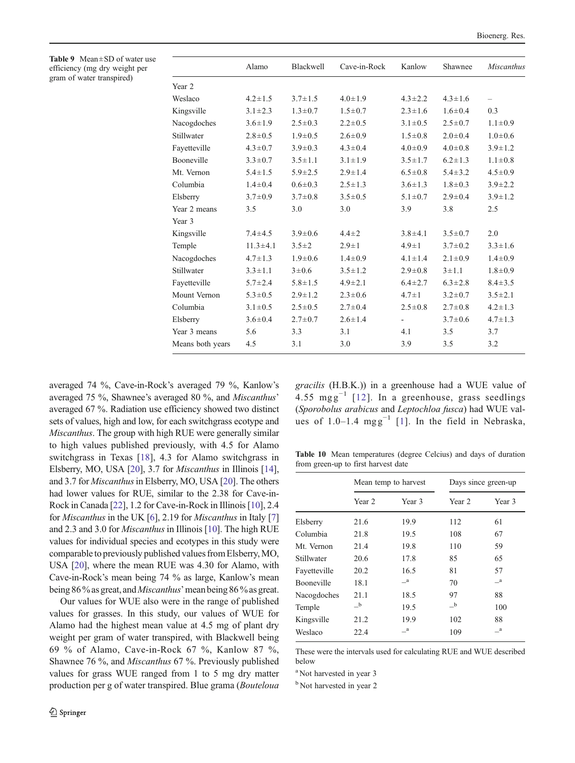<span id="page-13-0"></span>Table 9 Mean±SD of water use efficiency (mg dry weight per gram of water transpired)

|                   | Alamo          | <b>Blackwell</b> | Cave-in-Rock  | Kanlow         | Shawnee       | <b>Miscanthus</b> |
|-------------------|----------------|------------------|---------------|----------------|---------------|-------------------|
| Year 2            |                |                  |               |                |               |                   |
| Weslaco           | $4.2 \pm 1.5$  | $3.7 \pm 1.5$    | $4.0 \pm 1.9$ | $4.3 \pm 2.2$  | $4.3 \pm 1.6$ |                   |
| Kingsville        | $3.1 \pm 2.3$  | $1.3 \pm 0.7$    | $1.5 \pm 0.7$ | $2.3 \pm 1.6$  | $1.6 \pm 0.4$ | 0.3               |
| Nacogdoches       | $3.6 \pm 1.9$  | $2.5 \pm 0.3$    | $2.2 \pm 0.5$ | $3.1 \pm 0.5$  | $2.5 \pm 0.7$ | $1.1 \pm 0.9$     |
| Stillwater        | $2.8 \pm 0.5$  | $1.9 \pm 0.5$    | $2.6 \pm 0.9$ | $1.5 \pm 0.8$  | $2.0 \pm 0.4$ | $1.0 + 0.6$       |
| Fayetteville      | $4.3 \pm 0.7$  | $3.9 \pm 0.3$    | $4.3 \pm 0.4$ | $4.0 \pm 0.9$  | $4.0 \pm 0.8$ | $3.9 \pm 1.2$     |
| <b>Booneville</b> | $3.3 \pm 0.7$  | $3.5 \pm 1.1$    | $3.1 \pm 1.9$ | $3.5 \pm 1.7$  | $6.2 \pm 1.3$ | $1.1 \pm 0.8$     |
| Mt. Vernon        | $5.4 \pm 1.5$  | $5.9 \pm 2.5$    | $2.9 \pm 1.4$ | $6.5 \pm 0.8$  | $5.4 \pm 3.2$ | $4.5 \pm 0.9$     |
| Columbia          | $1.4 \pm 0.4$  | $0.6 \pm 0.3$    | $2.5 \pm 1.3$ | $3.6 \pm 1.3$  | $1.8 \pm 0.3$ | $3.9 \pm 2.2$     |
| Elsberry          | $3.7 \pm 0.9$  | $3.7 \pm 0.8$    | $3.5 \pm 0.5$ | $5.1 \pm 0.7$  | $2.9 \pm 0.4$ | $3.9 \pm 1.2$     |
| Year 2 means      | 3.5            | 3.0              | 3.0           | 3.9            | 3.8           | 2.5               |
| Year 3            |                |                  |               |                |               |                   |
| Kingsville        | $7.4 \pm 4.5$  | $3.9 \pm 0.6$    | $4.4 \pm 2$   | $3.8 \pm 4.1$  | $3.5 \pm 0.7$ | 2.0               |
| Temple            | $11.3 \pm 4.1$ | $3.5 \pm 2$      | $2.9 \pm 1$   | $4.9 \pm 1$    | $3.7 \pm 0.2$ | $3.3 \pm 1.6$     |
| Nacogdoches       | $4.7 \pm 1.3$  | $1.9 \pm 0.6$    | $1.4 \pm 0.9$ | $4.1 \pm 1.4$  | $2.1 \pm 0.9$ | $1.4 \pm 0.9$     |
| Stillwater        | $3.3 \pm 1.1$  | $3 \pm 0.6$      | $3.5 \pm 1.2$ | $2.9 \pm 0.8$  | $3 \pm 1.1$   | $1.8 \pm 0.9$     |
| Fayetteville      | $5.7 \pm 2.4$  | $5.8 \pm 1.5$    | $4.9 \pm 2.1$ | $6.4 \pm 2.7$  | $6.3 \pm 2.8$ | $8.4 \pm 3.5$     |
| Mount Vernon      | $5.3 \pm 0.5$  | $2.9 \pm 1.2$    | $2.3 \pm 0.6$ | $4.7 \pm 1$    | $3.2 \pm 0.7$ | $3.5 \pm 2.1$     |
| Columbia          | $3.1 \pm 0.5$  | $2.5 \pm 0.5$    | $2.7 \pm 0.4$ | $2.5 \pm 0.8$  | $2.7 \pm 0.8$ | $4.2 \pm 1.3$     |
| Elsberry          | $3.6 \pm 0.4$  | $2.7 \pm 0.7$    | $2.6 \pm 1.4$ | $\blacksquare$ | $3.7 \pm 0.6$ | $4.7 \pm 1.3$     |
| Year 3 means      | 5.6            | 3.3              | 3.1           | 4.1            | 3.5           | 3.7               |
| Means both years  | 4.5            | 3.1              | 3.0           | 3.9            | 3.5           | 3.2               |
|                   |                |                  |               |                |               |                   |

averaged 74 %, Cave-in-Rock's averaged 79 %, Kanlow's averaged 75 %, Shawnee's averaged 80 %, and Miscanthus' averaged 67 %. Radiation use efficiency showed two distinct sets of values, high and low, for each switchgrass ecotype and Miscanthus. The group with high RUE were generally similar to high values published previously, with 4.5 for Alamo switchgrass in Texas [\[18](#page-14-0)], 4.3 for Alamo switchgrass in Elsberry, MO, USA [\[20\]](#page-14-0), 3.7 for Miscanthus in Illinois [[14\]](#page-14-0), and 3.7 for *Miscanthus* in Elsberry, MO, USA [\[20](#page-14-0)]. The others had lower values for RUE, similar to the 2.38 for Cave-in-Rock in Canada [\[22](#page-14-0)], 1.2 for Cave-in-Rock in Illinois [[10](#page-14-0)], 2.4 for Miscanthus in the UK [\[6](#page-14-0)], 2.19 for Miscanthus in Italy [\[7\]](#page-14-0) and 2.3 and 3.0 for Miscanthus in Illinois [\[10\]](#page-14-0). The high RUE values for individual species and ecotypes in this study were comparable to previously published values from Elsberry, MO, USA [\[20\]](#page-14-0), where the mean RUE was 4.30 for Alamo, with Cave-in-Rock's mean being 74 % as large, Kanlow's mean being 86% as great, and *Miscanthus*' mean being 86% as great.

Our values for WUE also were in the range of published values for grasses. In this study, our values of WUE for Alamo had the highest mean value at 4.5 mg of plant dry weight per gram of water transpired, with Blackwell being 69 % of Alamo, Cave-in-Rock 67 %, Kanlow 87 %, Shawnee 76 %, and Miscanthus 67 %. Previously published values for grass WUE ranged from 1 to 5 mg dry matter production per g of water transpired. Blue grama (Bouteloua

gracilis (H.B.K.)) in a greenhouse had a WUE value of 4.55 mgg<sup>-1</sup> [[12](#page-14-0)]. In a greenhouse, grass seedlings (Sporobolus arabicus and Leptochloa fusca) had WUE val-ues of [1](#page-14-0).0–1.4  $mgg^{-1}$  [1]. In the field in Nebraska,

Table 10 Mean temperatures (degree Celcius) and days of duration from green-up to first harvest date

|              |              | Mean temp to harvest | Days since green-up |              |
|--------------|--------------|----------------------|---------------------|--------------|
|              | Year 2       | Year 3               | Year 2              | Year 3       |
| Elsberry     | 21.6         | 19.9                 | 112                 | 61           |
| Columbia     | 21.8         | 19.5                 | 108                 | 67           |
| Mt. Vernon   | 21.4         | 19.8                 | 110                 | 59           |
| Stillwater   | 20.6         | 17.8                 | 85                  | 65           |
| Fayetteville | 20.2         | 16.5                 | 81                  | 57           |
| Booneville   | 18.1         | $\mathbf{a}$         | 70                  | $\mathbf{a}$ |
| Nacogdoches  | 21.1         | 18.5                 | 97                  | 88           |
| Temple       | $\mathbf{b}$ | 19.5                 | $\mathbf{a}$        | 100          |
| Kingsville   | 21.2         | 19.9                 | 102                 | 88           |
| Weslaco      | 22.4         | $\mathbf{a}$         | 109                 | <sub>a</sub> |

These were the intervals used for calculating RUE and WUE described below

<sup>a</sup> Not harvested in year 3

<sup>b</sup> Not harvested in year 2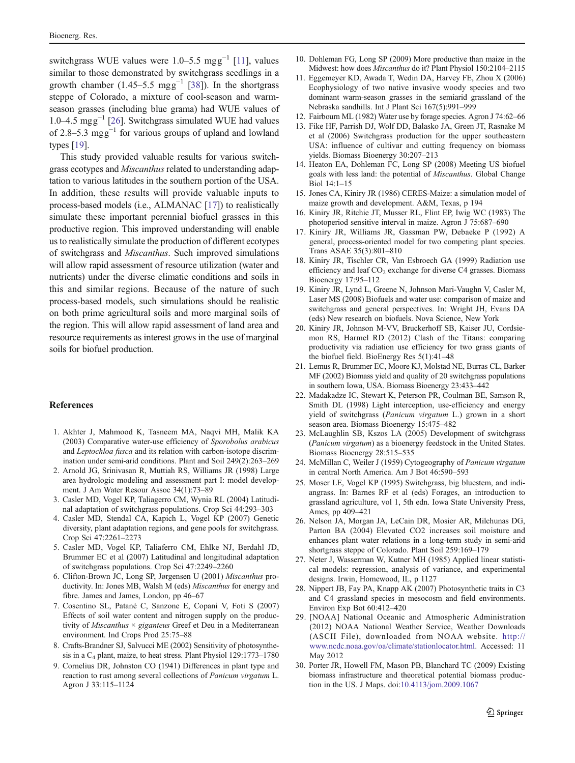<span id="page-14-0"></span>switchgrass WUE values were 1.0–5.5 mgg<sup>-1</sup> [11], values similar to those demonstrated by switchgrass seedlings in a growth chamber (1.45–5.5 mgg<sup>-1</sup> [[38\]](#page-15-0)). In the shortgrass steppe of Colorado, a mixture of cool-season and warmseason grasses (including blue grama) had WUE values of 1.0–4.5 mgg−<sup>1</sup> [26]. Switchgrass simulated WUE had values of 2.8–5.3 mgg−<sup>1</sup> for various groups of upland and lowland types [19].

This study provided valuable results for various switchgrass ecotypes and Miscanthus related to understanding adaptation to various latitudes in the southern portion of the USA. In addition, these results will provide valuable inputs to process-based models (i.e., ALMANAC [17]) to realistically simulate these important perennial biofuel grasses in this productive region. This improved understanding will enable us to realistically simulate the production of different ecotypes of switchgrass and Miscanthus. Such improved simulations will allow rapid assessment of resource utilization (water and nutrients) under the diverse climatic conditions and soils in this and similar regions. Because of the nature of such process-based models, such simulations should be realistic on both prime agricultural soils and more marginal soils of the region. This will allow rapid assessment of land area and resource requirements as interest grows in the use of marginal soils for biofuel production.

#### References

- 1. Akhter J, Mahmood K, Tasneem MA, Naqvi MH, Malik KA (2003) Comparative water-use efficiency of Sporobolus arabicus and Leptochloa fusca and its relation with carbon-isotope discrimination under semi-arid conditions. Plant and Soil 249(2):263–269
- 2. Arnold JG, Srinivasan R, Muttiah RS, Williams JR (1998) Large area hydrologic modeling and assessment part I: model development. J Am Water Resour Assoc 34(1):73–89
- 3. Casler MD, Vogel KP, Taliagerro CM, Wynia RL (2004) Latitudinal adaptation of switchgrass populations. Crop Sci 44:293–303
- 4. Casler MD, Stendal CA, Kapich L, Vogel KP (2007) Genetic diversity, plant adaptation regions, and gene pools for switchgrass. Crop Sci 47:2261–2273
- 5. Casler MD, Vogel KP, Taliaferro CM, Ehlke NJ, Berdahl JD, Brummer EC et al (2007) Latitudinal and longitudinal adaptation of switchgrass populations. Crop Sci 47:2249–2260
- 6. Clifton-Brown JC, Long SP, Jørgensen U (2001) Miscanthus productivity. In: Jones MB, Walsh M (eds) Miscanthus for energy and fibre. James and James, London, pp 46–67
- 7. Cosentino SL, Patanè C, Sanzone E, Copani V, Foti S (2007) Effects of soil water content and nitrogen supply on the productivity of *Miscanthus*  $\times$  *giganteus* Greef et Deu in a Mediterranean environment. Ind Crops Prod 25:75–88
- 8. Crafts-Brandner SJ, Salvucci ME (2002) Sensitivity of photosynthesis in a C4 plant, maize, to heat stress. Plant Physiol 129:1773–1780
- 9. Cornelius DR, Johnston CO (1941) Differences in plant type and reaction to rust among several collections of Panicum virgatum L. Agron J 33:115–1124
- 10. Dohleman FG, Long SP (2009) More productive than maize in the Midwest: how does Miscanthus do it? Plant Physiol 150:2104–<sup>2115</sup>
- 11. Eggemeyer KD, Awada T, Wedin DA, Harvey FE, Zhou X (2006) Ecophysiology of two native invasive woody species and two dominant warm-season grasses in the semiarid grassland of the Nebraska sandhills. Int J Plant Sci 167(5):991–999
- 12. Fairbourn ML (1982) Water use by forage species. Agron J 74:62–66
- 13. Fike HF, Parrish DJ, Wolf DD, Balasko JA, Green JT, Rasnake M et al (2006) Switchgrass production for the upper southeastern USA: influence of cultivar and cutting frequency on biomass yields. Biomass Bioenergy 30:207–213
- 14. Heaton EA, Dohleman FC, Long SP (2008) Meeting US biofuel goals with less land: the potential of Miscanthus. Global Change  $Biol 14·1–15$
- 15. Jones CA, Kiniry JR (1986) CERES-Maize: a simulation model of maize growth and development. A&M, Texas, p 194
- 16. Kiniry JR, Ritchie JT, Musser RL, Flint EP, Iwig WC (1983) The photoperiod sensitive interval in maize. Agron J 75:687–690
- 17. Kiniry JR, Williams JR, Gassman PW, Debaeke P (1992) A general, process-oriented model for two competing plant species. Trans ASAE 35(3):801–810
- 18. Kiniry JR, Tischler CR, Van Esbroech GA (1999) Radiation use efficiency and leaf CO<sub>2</sub> exchange for diverse C4 grasses. Biomass Bioenergy 17:95–112
- 19. Kiniry JR, Lynd L, Greene N, Johnson Mari-Vaughn V, Casler M, Laser MS (2008) Biofuels and water use: comparison of maize and switchgrass and general perspectives. In: Wright JH, Evans DA (eds) New research on biofuels. Nova Science, New York
- 20. Kiniry JR, Johnson M-VV, Bruckerhoff SB, Kaiser JU, Cordsiemon RS, Harmel RD (2012) Clash of the Titans: comparing productivity via radiation use efficiency for two grass giants of the biofuel field. BioEnergy Res 5(1):41–48
- 21. Lemus R, Brummer EC, Moore KJ, Molstad NE, Burras CL, Barker MF (2002) Biomass yield and quality of 20 switchgrass populations in southern Iowa, USA. Biomass Bioenergy 23:433–442
- 22. Madakadze IC, Stewart K, Peterson PR, Coulman BE, Samson R, Smith DL (1998) Light interception, use-efficiency and energy yield of switchgrass (Panicum virgatum L.) grown in a short season area. Biomass Bioenergy 15:475–482
- 23. McLaughlin SB, Kszos LA (2005) Development of switchgrass (Panicum virgatum) as a bioenergy feedstock in the United States. Biomass Bioenergy 28:515–535
- 24. McMillan C, Weiler J (1959) Cytogeography of Panicum virgatum in central North America. Am J Bot 46:590–593
- 25. Moser LE, Vogel KP (1995) Switchgrass, big bluestem, and indiangrass. In: Barnes RF et al (eds) Forages, an introduction to grassland agriculture, vol 1, 5th edn. Iowa State University Press, Ames, pp 409–421
- 26. Nelson JA, Morgan JA, LeCain DR, Mosier AR, Milchunas DG, Parton BA (2004) Elevated CO2 increases soil moisture and enhances plant water relations in a long-term study in semi-arid shortgrass steppe of Colorado. Plant Soil 259:169–179
- 27. Neter J, Wasserman W, Kutner MH (1985) Applied linear statistical models: regression, analysis of variance, and experimental designs. Irwin, Homewood, IL, p 1127
- 28. Nippert JB, Fay PA, Knapp AK (2007) Photosynthetic traits in C3 and C4 grassland species in mesocosm and field environments. Environ Exp Bot 60:412–420
- 29. [NOAA] National Oceanic and Atmospheric Administration (2012) NOAA National Weather Service, Weather Downloads (ASCII File), downloaded from NOAA website. [http://](http://www.ncdc.noaa.gov/oa/climate/stationlocator.html) [www.ncdc.noaa.gov/oa/climate/stationlocator.html](http://www.ncdc.noaa.gov/oa/climate/stationlocator.html). Accessed: 11 May 2012
- 30. Porter JR, Howell FM, Mason PB, Blanchard TC (2009) Existing biomass infrastructure and theoretical potential biomass production in the US. J Maps. doi[:10.4113/jom.2009.1067](http://dx.doi.org/10.4113/jom.2009.1067)